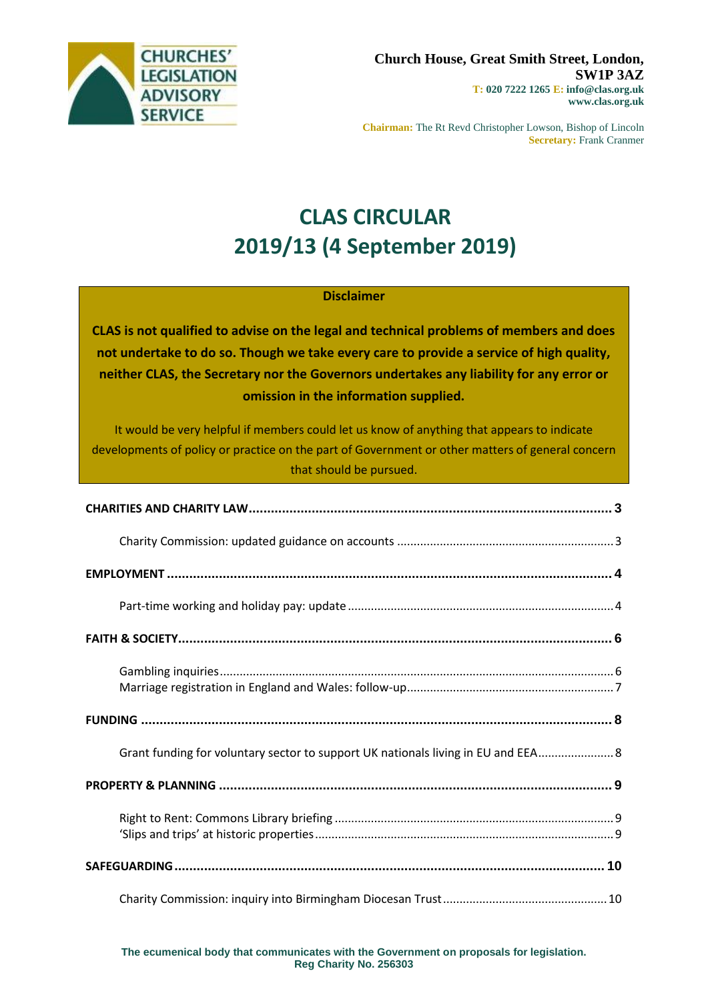

**Chairman:** The Rt Revd Christopher Lowson, Bishop of Lincoln **Secretary:** Frank Cranmer

# **CLAS CIRCULAR 2019/13 (4 September 2019)**

### **Disclaimer**

**CLAS is not qualified to advise on the legal and technical problems of members and does not undertake to do so. Though we take every care to provide a service of high quality, neither CLAS, the Secretary nor the Governors undertakes any liability for any error or omission in the information supplied.**

It would be very helpful if members could let us know of anything that appears to indicate developments of policy or practice on the part of Government or other matters of general concern that should be pursued.

| Grant funding for voluntary sector to support UK nationals living in EU and EEA 8 |
|-----------------------------------------------------------------------------------|
|                                                                                   |
|                                                                                   |
|                                                                                   |
|                                                                                   |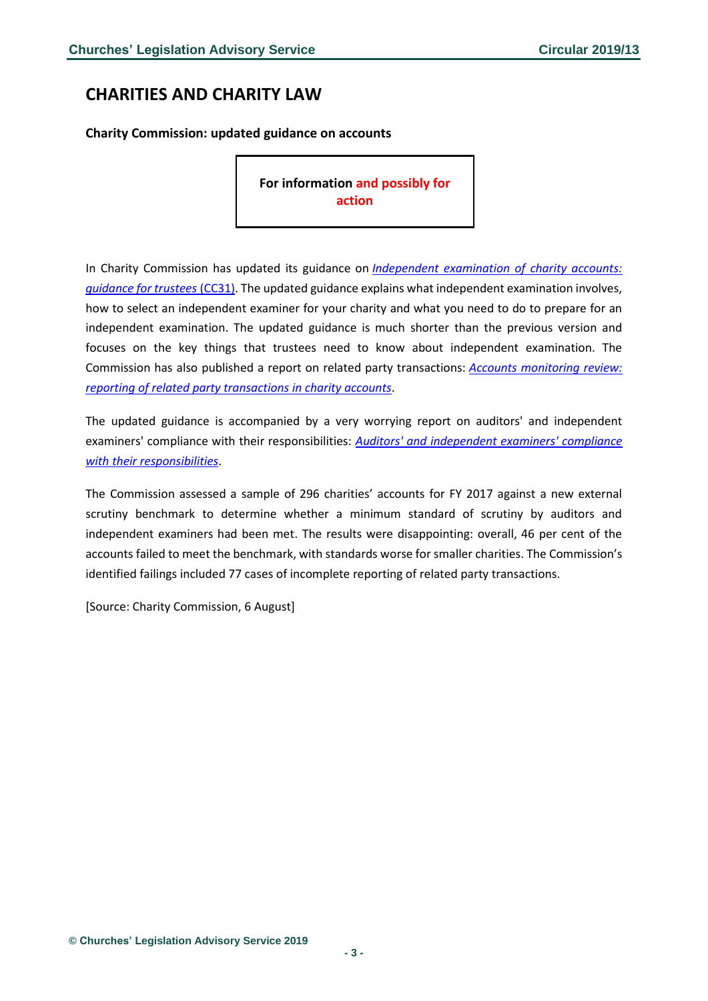## <span id="page-2-0"></span>**CHARITIES AND CHARITY LAW**

<span id="page-2-1"></span>**Charity Commission: updated guidance on accounts**

**For information and possibly for action** 

In Charity Commission has updated its guidance on *[Independent examination of charity accounts:](https://www.gov.uk/government/publications/independent-examination-of-charity-accounts-trustees-cc31?utm_source=e48e4ef9-2788-462d-983e-893ebfc6be75&utm_medium=email&utm_campaign=govuk-notifications&utm_content=immediate)  [guidance for trustees](https://www.gov.uk/government/publications/independent-examination-of-charity-accounts-trustees-cc31?utm_source=e48e4ef9-2788-462d-983e-893ebfc6be75&utm_medium=email&utm_campaign=govuk-notifications&utm_content=immediate)* (CC31). The updated guidance explains what independent examination involves, how to select an independent examiner for your charity and what you need to do to prepare for an independent examination. The updated guidance is much shorter than the previous version and focuses on the key things that trustees need to know about independent examination. The Commission has also published a report on related party transactions: *[Accounts monitoring review:](https://www.gov.uk/government/publications/accounts-monitoring-review-reporting-of-related-party-transactions-in-charity-accounts/reporting-of-related-party-transactions)  [reporting of related party transactions in charity accounts](https://www.gov.uk/government/publications/accounts-monitoring-review-reporting-of-related-party-transactions-in-charity-accounts/reporting-of-related-party-transactions)*.

The updated guidance is accompanied by a very worrying report on auditors' and independent examiners' compliance with their responsibilities: *[Auditors' and independent examiners' compliance](https://www.gov.uk/government/publications/accounts-monitoring-review-auditors-and-independent-examiners-compliance-with-their-responsibilities/auditors-and-independent-examiners-compliance-with-their-responsibilities)  [with their responsibilities](https://www.gov.uk/government/publications/accounts-monitoring-review-auditors-and-independent-examiners-compliance-with-their-responsibilities/auditors-and-independent-examiners-compliance-with-their-responsibilities)*.

The Commission assessed a sample of 296 charities' accounts for FY 2017 against a new external scrutiny benchmark to determine whether a minimum standard of scrutiny by auditors and independent examiners had been met. The results were disappointing: overall, 46 per cent of the accounts failed to meet the benchmark, with standards worse for smaller charities. The Commission's identified failings included 77 cases of incomplete reporting of related party transactions.

[Source: Charity Commission, 6 August]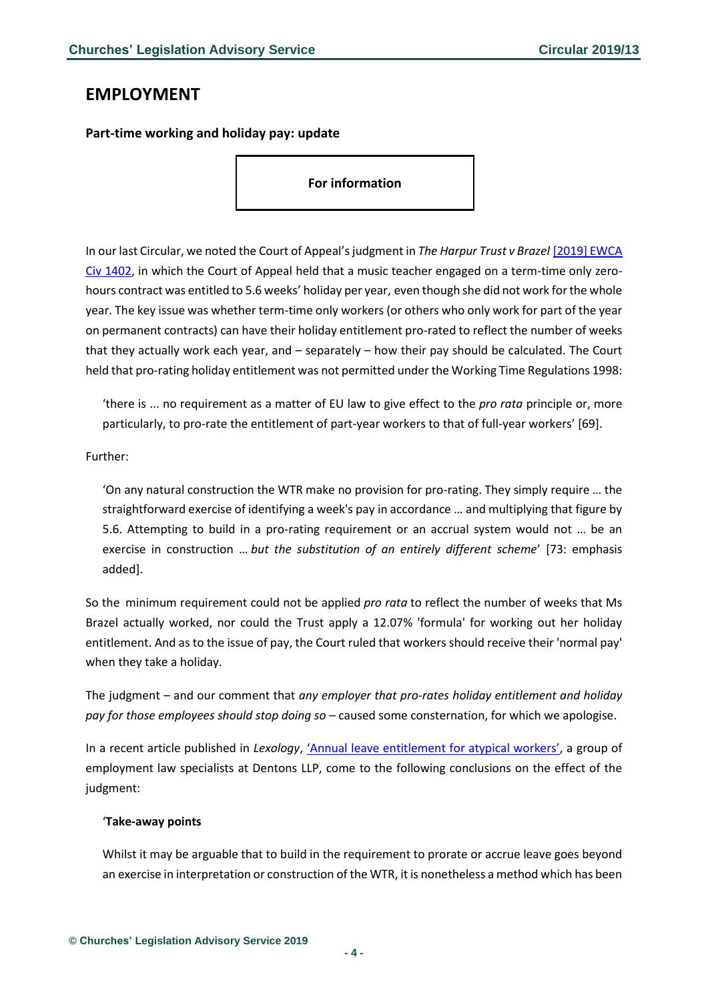### <span id="page-3-0"></span>**EMPLOYMENT**

<span id="page-3-1"></span>**Part-time working and holiday pay: update**

**For information**

In our last Circular, we noted the Court of Appeal's judgment in *The Harpur Trust v Brazel* [\[2019\] EWCA](https://www.bailii.org/ew/cases/EWCA/Civ/2019/1402.html)  [Civ 1402,](https://www.bailii.org/ew/cases/EWCA/Civ/2019/1402.html) in which the Court of Appeal held that a music teacher engaged on a term-time only zerohours contract was entitled to 5.6 weeks' holiday per year, even though she did not work for the whole year. The key issue was whether term-time only workers (or others who only work for part of the year on permanent contracts) can have their holiday entitlement pro-rated to reflect the number of weeks that they actually work each year, and – separately – how their pay should be calculated. The Court held that pro-rating holiday entitlement was not permitted under the Working Time Regulations 1998:

'there is ... no requirement as a matter of EU law to give effect to the *pro rata* principle or, more particularly, to pro-rate the entitlement of part-year workers to that of full-year workers' [69].

### Further:

'On any natural construction the WTR make no provision for pro-rating. They simply require … the straightforward exercise of identifying a week's pay in accordance … and multiplying that figure by 5.6. Attempting to build in a pro-rating requirement or an accrual system would not … be an exercise in construction … *but the substitution of an entirely different scheme*' [73: emphasis added].

So the minimum requirement could not be applied *pro rata* to reflect the number of weeks that Ms Brazel actually worked, nor could the Trust apply a 12.07% 'formula' for working out her holiday entitlement. And as to the issue of pay, the Court ruled that workers should receive their 'normal pay' when they take a holiday.

The judgment – and our comment that *any employer that pro-rates holiday entitlement and holiday pay for those employees should stop doing so* – caused some consternation, for which we apologise.

In a recent article published in *Lexology*, ['Annual leave entitlement for atypical workers'](https://www.lexology.com/library/detail.aspx?g=2c41a688-a62f-4bc0-85b1-9e4d11074ac6&utm_source=lexology+daily+newsfeed&utm_medium=html+email+-+body+-+general+section&utm_campaign=lexology+subscriber+daily+feed&utm_content=lexology+daily+newsfeed+2019-09-02&utm_term=), a group of employment law specialists at Dentons LLP, come to the following conclusions on the effect of the judgment:

#### '**Take-away points**

Whilst it may be arguable that to build in the requirement to prorate or accrue leave goes beyond an exercise in interpretation or construction of the WTR, it is nonetheless a method which has been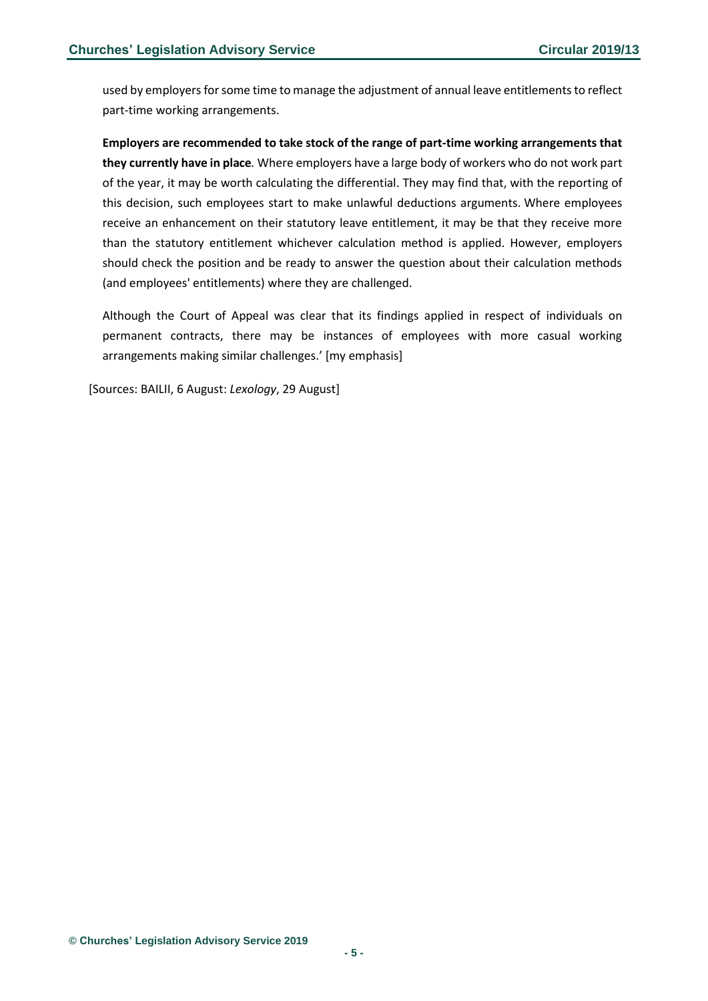used by employers for some time to manage the adjustment of annual leave entitlements to reflect part-time working arrangements.

**Employers are recommended to take stock of the range of part-time working arrangements that they currently have in place***.* Where employers have a large body of workers who do not work part of the year, it may be worth calculating the differential. They may find that, with the reporting of this decision, such employees start to make unlawful deductions arguments. Where employees receive an enhancement on their statutory leave entitlement, it may be that they receive more than the statutory entitlement whichever calculation method is applied. However, employers should check the position and be ready to answer the question about their calculation methods (and employees' entitlements) where they are challenged.

Although the Court of Appeal was clear that its findings applied in respect of individuals on permanent contracts, there may be instances of employees with more casual working arrangements making similar challenges.' [my emphasis]

[Sources: BAILII, 6 August: *Lexology*, 29 August]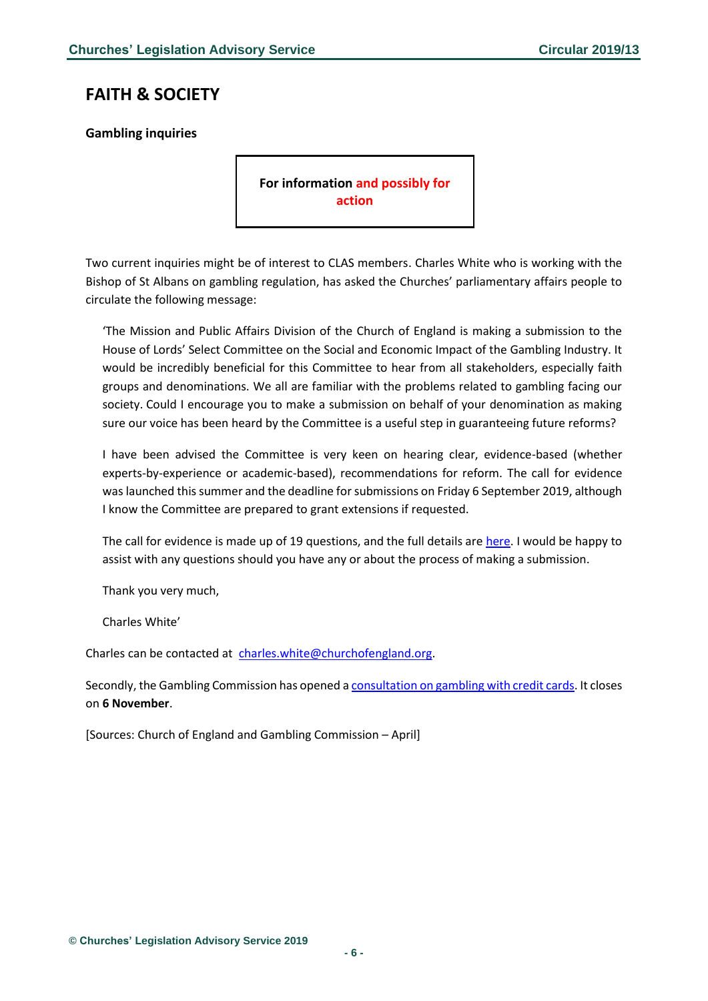# <span id="page-5-0"></span>**FAITH & SOCIETY**

### <span id="page-5-1"></span>**Gambling inquiries**

**For information and possibly for action**

Two current inquiries might be of interest to CLAS members. Charles White who is working with the Bishop of St Albans on gambling regulation, has asked the Churches' parliamentary affairs people to circulate the following message:

'The Mission and Public Affairs Division of the Church of England is making a submission to the House of Lords' Select Committee on the Social and Economic Impact of the Gambling Industry. It would be incredibly beneficial for this Committee to hear from all stakeholders, especially faith groups and denominations. We all are familiar with the problems related to gambling facing our society. Could I encourage you to make a submission on behalf of your denomination as making sure our voice has been heard by the Committee is a useful step in guaranteeing future reforms?

I have been advised the Committee is very keen on hearing clear, evidence-based (whether experts-by-experience or academic-based), recommendations for reform. The call for evidence was launched this summer and the deadline for submissions on Friday 6 September 2019, although I know the Committee are prepared to grant extensions if requested.

The call for evidence is made up of 19 questions, and the full details are [here.](https://www.parliament.uk/documents/lords-committees/Gambling-committee/Gambling-Call-for-evidence.pdf) I would be happy to assist with any questions should you have any or about the process of making a submission.

Thank you very much,

Charles White'

Charles can be contacted at [charles.white@churchofengland.org.](mailto:charles.white@churchofengland.org)

Secondly, the Gambling Commission has opened a **consultation on gambling with credit cards**. It closes on **6 November**.

[Sources: Church of England and Gambling Commission – April]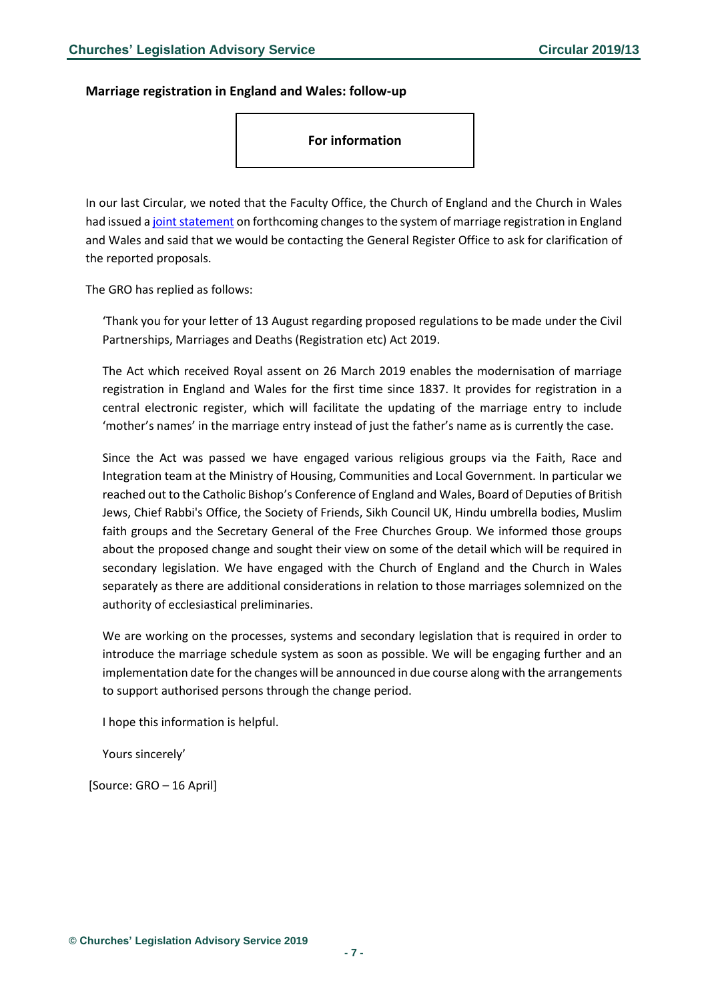### <span id="page-6-0"></span>**Marriage registration in England and Wales: follow-up**

**For information**

In our last Circular, we noted that the Faculty Office, the Church of England and the Church in Wales had issued [a joint statement](http://www.facultyoffice.org.uk/special-licences/marriage-law-news/) on forthcoming changes to the system of marriage registration in England and Wales and said that we would be contacting the General Register Office to ask for clarification of the reported proposals.

The GRO has replied as follows:

'Thank you for your letter of 13 August regarding proposed regulations to be made under the Civil Partnerships, Marriages and Deaths (Registration etc) Act 2019.

The Act which received Royal assent on 26 March 2019 enables the modernisation of marriage registration in England and Wales for the first time since 1837. It provides for registration in a central electronic register, which will facilitate the updating of the marriage entry to include 'mother's names' in the marriage entry instead of just the father's name as is currently the case.

Since the Act was passed we have engaged various religious groups via the Faith, Race and Integration team at the Ministry of Housing, Communities and Local Government. In particular we reached out to the Catholic Bishop's Conference of England and Wales, Board of Deputies of British Jews, Chief Rabbi's Office, the Society of Friends, Sikh Council UK, Hindu umbrella bodies, Muslim faith groups and the Secretary General of the Free Churches Group. We informed those groups about the proposed change and sought their view on some of the detail which will be required in secondary legislation. We have engaged with the Church of England and the Church in Wales separately as there are additional considerations in relation to those marriages solemnized on the authority of ecclesiastical preliminaries.

We are working on the processes, systems and secondary legislation that is required in order to introduce the marriage schedule system as soon as possible. We will be engaging further and an implementation date for the changes will be announced in due course along with the arrangements to support authorised persons through the change period.

I hope this information is helpful.

Yours sincerely'

[Source: GRO – 16 April]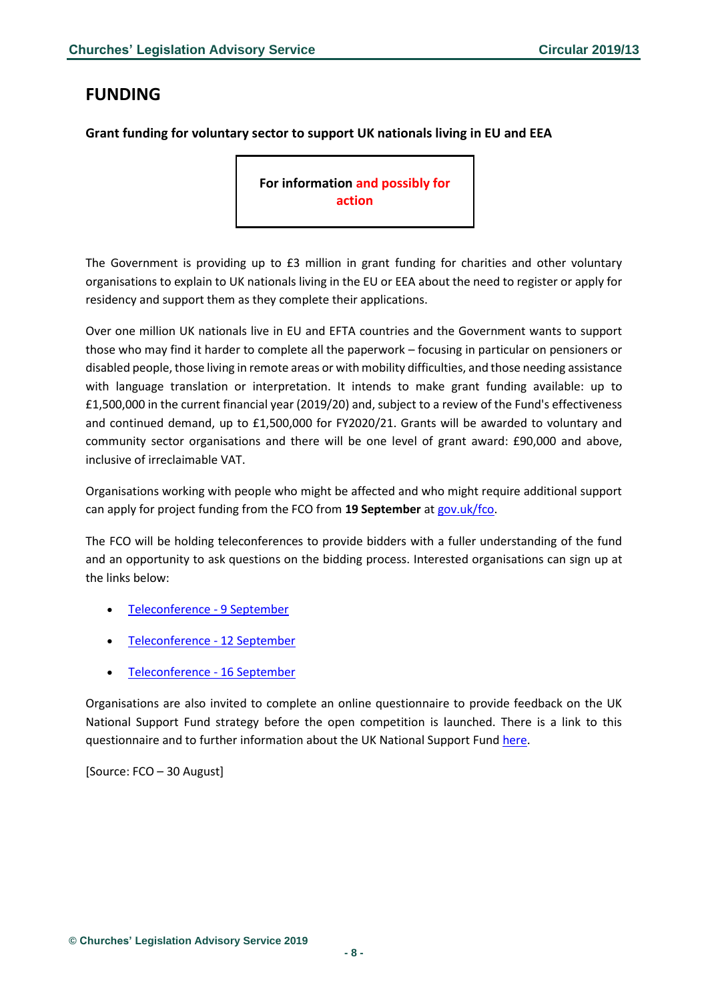# <span id="page-7-0"></span>**FUNDING**

### <span id="page-7-1"></span>**Grant funding for voluntary sector to support UK nationals living in EU and EEA**

**For information and possibly for action**

The Government is providing up to £3 million in grant funding for charities and other voluntary organisations to explain to UK nationals living in the EU or EEA about the need to register or apply for residency and support them as they complete their applications.

Over one million UK nationals live in EU and EFTA countries and the Government wants to support those who may find it harder to complete all the paperwork – focusing in particular on pensioners or disabled people, those living in remote areas or with mobility difficulties, and those needing assistance with language translation or interpretation. It intends to make grant funding available: up to £1,500,000 in the current financial year (2019/20) and, subject to a review of the Fund's effectiveness and continued demand, up to £1,500,000 for FY2020/21. Grants will be awarded to voluntary and community sector organisations and there will be one level of grant award: £90,000 and above, inclusive of irreclaimable VAT.

Organisations working with people who might be affected and who might require additional support can apply for project funding from the FCO from **19 September** at [gov.uk/fco.](https://www.gov.uk/government/organisations/foreign-commonwealth-office)

The FCO will be holding teleconferences to provide bidders with a fuller understanding of the fund and an opportunity to ask questions on the bidding process. Interested organisations can sign up at the links below:

- [Teleconference -](https://uknsf9sep.eventbrite.co.uk/?aff=govuk) 9 September
- [Teleconference -](https://uknatsf12sep.eventbrite.co.uk/?aff=govuk) 12 September
- [Teleconference -](https://uknsf2sep.eventbrite.co.uk/?aff=govuk) 16 September

Organisations are also invited to complete an online questionnaire to provide feedback on the UK National Support Fund strategy before the open competition is launched. There is a link to this questionnaire and to further information about the UK National Support Fund [here.](https://www.contractsfinder.service.gov.uk/Notice/95786a7f-009d-4cbc-af11-1656a7373e32)

[Source: FCO – 30 August]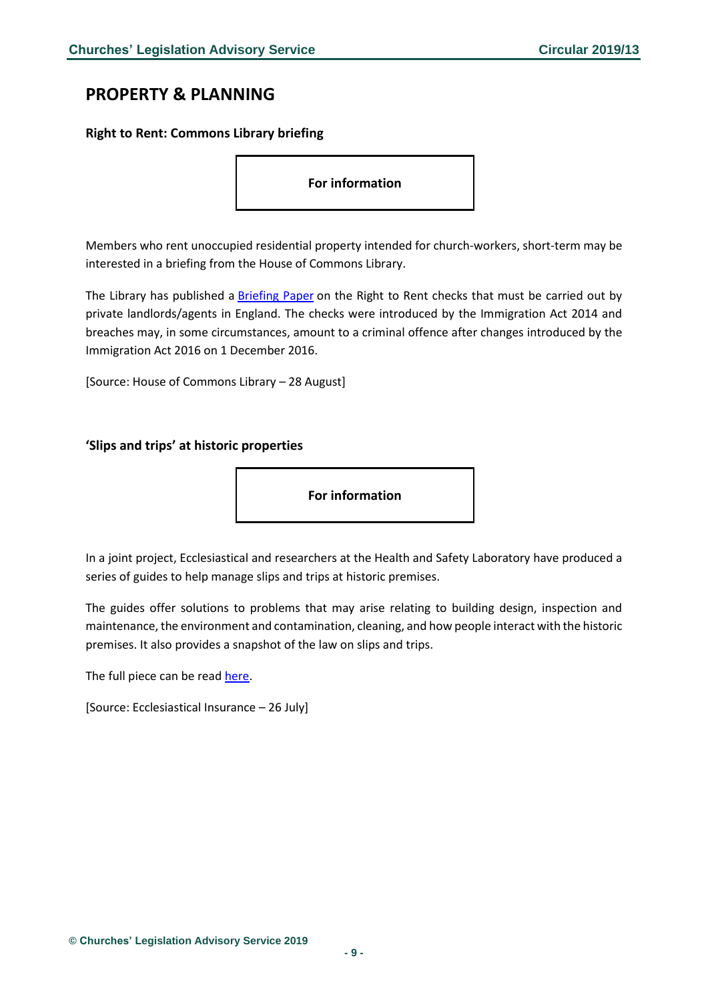# <span id="page-8-0"></span>**PROPERTY & PLANNING**

### <span id="page-8-1"></span>**Right to Rent: Commons Library briefing**

**For information** 

Members who rent unoccupied residential property intended for church-workers, short-term may be interested in a briefing from the House of Commons Library.

The Library has published a [Briefing Paper](http://bit.ly/2ZlzJnf) on the Right to Rent checks that must be carried out by private landlords/agents in England. The checks were introduced by the Immigration Act 2014 and breaches may, in some circumstances, amount to a criminal offence after changes introduced by the Immigration Act 2016 on 1 December 2016.

[Source: House of Commons Library – 28 August]

### <span id="page-8-2"></span>**'Slips and trips' at historic properties**

**For information** 

In a joint project, Ecclesiastical and researchers at the Health and Safety Laboratory have produced a series of guides to help manage slips and trips at historic premises.

The guides offer solutions to problems that may arise relating to building design, inspection and maintenance, the environment and contamination, cleaning, and how people interact with the historic premises. It also provides a snapshot of the law on slips and trips.

The full piece can be read [here.](https://www.ecclesiastical.com/risk-management/preventing-slips-and-trips/historic-properties/)

[Source: Ecclesiastical Insurance – 26 July]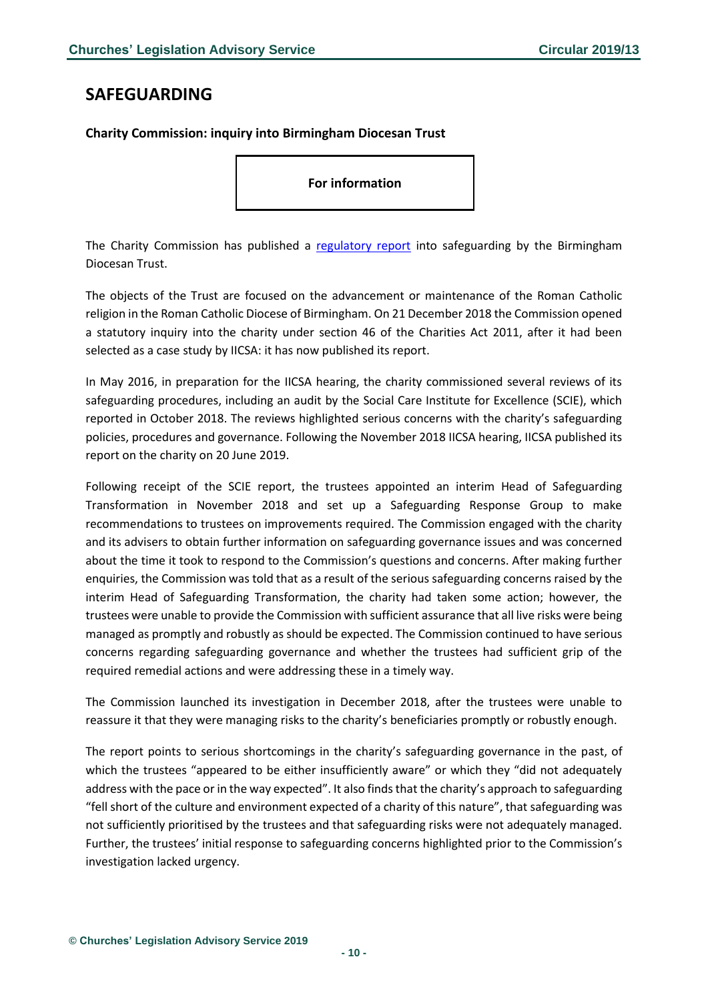## <span id="page-9-0"></span>**SAFEGUARDING**

<span id="page-9-1"></span>**Charity Commission: inquiry into Birmingham Diocesan Trust**

**For information** 

The Charity Commission has published a [regulatory report](https://www.gov.uk/government/publications/charity-inquiry-birmingham-diocesan-trust/birmingham-diocesan-trust) into safeguarding by the Birmingham Diocesan Trust.

The objects of the Trust are focused on the advancement or maintenance of the Roman Catholic religion in the Roman Catholic Diocese of Birmingham. On 21 December 2018 the Commission opened a statutory inquiry into the charity under section 46 of the Charities Act 2011, after it had been selected as a case study by IICSA: it has now published its report.

In May 2016, in preparation for the IICSA hearing, the charity commissioned several reviews of its safeguarding procedures, including an audit by the Social Care Institute for Excellence (SCIE), which reported in October 2018. The reviews highlighted serious concerns with the charity's safeguarding policies, procedures and governance. Following the November 2018 IICSA hearing, IICSA published its report on the charity on 20 June 2019.

Following receipt of the SCIE report, the trustees appointed an interim Head of Safeguarding Transformation in November 2018 and set up a Safeguarding Response Group to make recommendations to trustees on improvements required. The Commission engaged with the charity and its advisers to obtain further information on safeguarding governance issues and was concerned about the time it took to respond to the Commission's questions and concerns. After making further enquiries, the Commission was told that as a result of the serious safeguarding concerns raised by the interim Head of Safeguarding Transformation, the charity had taken some action; however, the trustees were unable to provide the Commission with sufficient assurance that all live risks were being managed as promptly and robustly as should be expected. The Commission continued to have serious concerns regarding safeguarding governance and whether the trustees had sufficient grip of the required remedial actions and were addressing these in a timely way.

The Commission launched its investigation in December 2018, after the trustees were unable to reassure it that they were managing risks to the charity's beneficiaries promptly or robustly enough.

The report points to serious shortcomings in the charity's safeguarding governance in the past, of which the trustees "appeared to be either insufficiently aware" or which they "did not adequately address with the pace or in the way expected". It also finds that the charity's approach to safeguarding "fell short of the culture and environment expected of a charity of this nature", that safeguarding was not sufficiently prioritised by the trustees and that safeguarding risks were not adequately managed. Further, the trustees' initial response to safeguarding concerns highlighted prior to the Commission's investigation lacked urgency.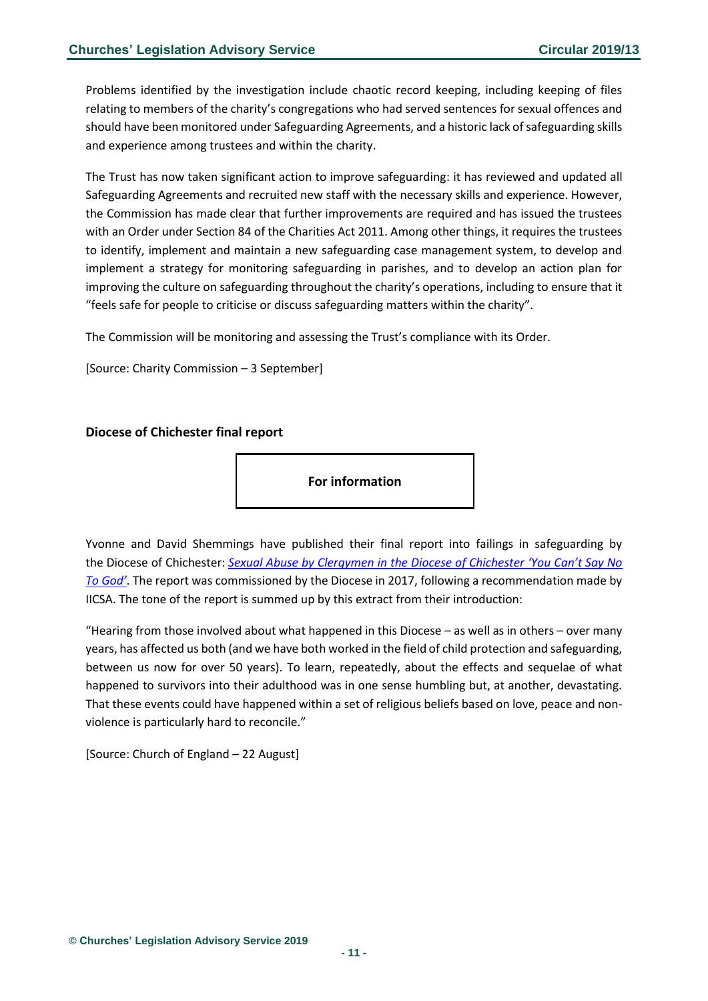Problems identified by the investigation include chaotic record keeping, including keeping of files relating to members of the charity's congregations who had served sentences for sexual offences and should have been monitored under Safeguarding Agreements, and a historic lack of safeguarding skills and experience among trustees and within the charity.

The Trust has now taken significant action to improve safeguarding: it has reviewed and updated all Safeguarding Agreements and recruited new staff with the necessary skills and experience. However, the Commission has made clear that further improvements are required and has issued the trustees with an Order under Section 84 of the Charities Act 2011. Among other things, it requires the trustees to identify, implement and maintain a new safeguarding case management system, to develop and implement a strategy for monitoring safeguarding in parishes, and to develop an action plan for improving the culture on safeguarding throughout the charity's operations, including to ensure that it "feels safe for people to criticise or discuss safeguarding matters within the charity".

The Commission will be monitoring and assessing the Trust's compliance with its Order.

[Source: Charity Commission – 3 September]

### <span id="page-10-0"></span>**Diocese of Chichester final report**



Yvonne and David Shemmings have published their final report into failings in safeguarding by the Diocese of Chichester: *Sexual Abuse by Cle[rgymen in the Diocese of Chichester 'You Can't Say No](https://cofechichestersafeguarding.contentfiles.net/media/documents/document/2019/08/Shemmings_Report_ib4lHC8.pdf)  [To God'](https://cofechichestersafeguarding.contentfiles.net/media/documents/document/2019/08/Shemmings_Report_ib4lHC8.pdf)*. The report was commissioned by the Diocese in 2017, following a recommendation made by IICSA. The tone of the report is summed up by this extract from their introduction:

"Hearing from those involved about what happened in this Diocese – as well as in others – over many years, has affected us both (and we have both worked in the field of child protection and safeguarding, between us now for over 50 years). To learn, repeatedly, about the effects and sequelae of what happened to survivors into their adulthood was in one sense humbling but, at another, devastating. That these events could have happened within a set of religious beliefs based on love, peace and nonviolence is particularly hard to reconcile."

[Source: Church of England – 22 August]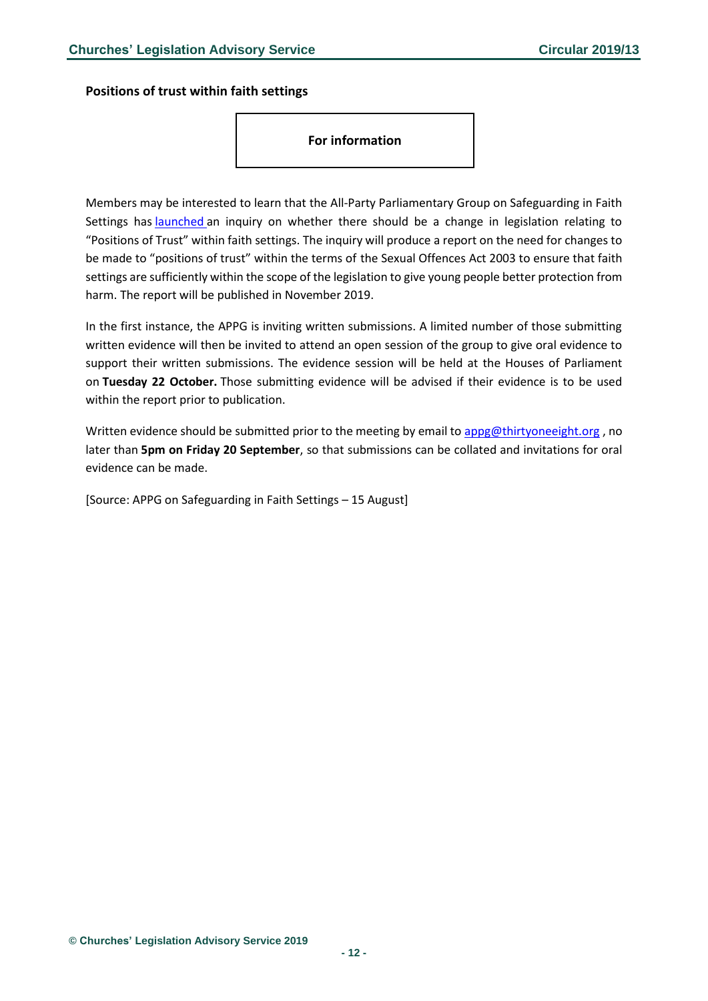<span id="page-11-0"></span>**Positions of trust within faith settings**

**For information** 

Members may be interested to learn that the All-Party Parliamentary Group on Safeguarding in Faith Settings has [launched](https://thirtyoneeight.org/news-and-events/appg/appg-2018/appg-launches-new-inquiry/) an inquiry on whether there should be a change in legislation relating to "Positions of Trust" within faith settings. The inquiry will produce a report on the need for changes to be made to "positions of trust" within the terms of the Sexual Offences Act 2003 to ensure that faith settings are sufficiently within the scope of the legislation to give young people better protection from harm. The report will be published in November 2019.

In the first instance, the APPG is inviting written submissions. A limited number of those submitting written evidence will then be invited to attend an open session of the group to give oral evidence to support their written submissions. The evidence session will be held at the Houses of Parliament on **Tuesday 22 October.** Those submitting evidence will be advised if their evidence is to be used within the report prior to publication.

Written evidence should be submitted prior to the meeting by email t[o appg@thirtyoneeight.org](mailto:appg@thirtyoneeight.org), no later than **5pm on Friday 20 September**, so that submissions can be collated and invitations for oral evidence can be made.

[Source: APPG on Safeguarding in Faith Settings – 15 August]